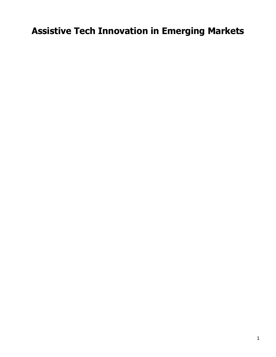# **Assistive Tech Innovation in Emerging Markets**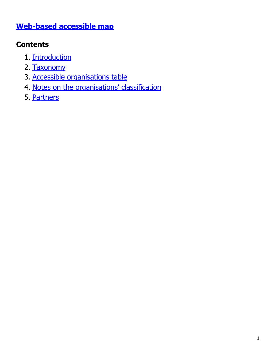#### **[Web-based accessible map](https://at2030.org/at-innovators/map/)**

### **Contents**

- 1. [Introduction](#page-1-0)
- 2. [Taxonomy](#page-2-0)
- 3. [Accessible organisations table](#page-8-0)
- 4. [Notes on the organisations' classification](#page-8-1)
- <span id="page-1-0"></span>5. [Partners](#page-17-0)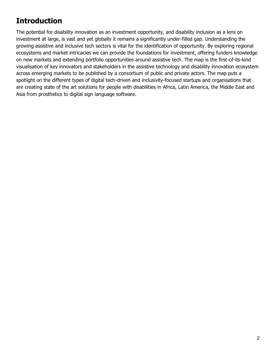### <span id="page-2-0"></span>**Introduction**

The potential for disability innovation as an investment opportunity, and disability inclusion as a lens on investment at large, is vast and yet globally it remains a significantly under-filled gap. Understanding the growing assistive and inclusive tech sectors is vital for the identification of opportunity. By exploring regional ecosystems and market intricacies we can provide the foundations for investment, offering funders knowledge on new markets and extending portfolio opportunities around assistive tech. The map is the first-of-its-kind visualisation of key innovators and stakeholders in the assistive technology and disability innovation ecosystem across emerging markets to be published by a consortium of public and private actors. The map puts a spotlight on the different types of digital tech-driven and inclusivity-focused startups and organisations that are creating state of the art solutions for people with disabilities in Africa, Latin America, the Middle East and Asia from prosthetics to digital sign language software.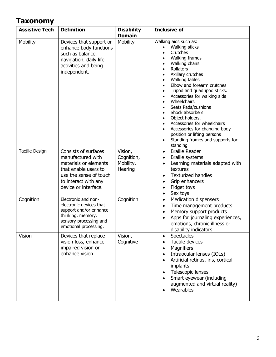#### **Taxonomy**

| <b>Assistive Tech</b> | <b>Definition</b>                                                                                                                                                    | <b>Disability</b><br><b>Domain</b>            | <b>Inclusive of</b>                                                                                                                                                                                                                                                                                                                                                                                                                                                                                                                                                                       |
|-----------------------|----------------------------------------------------------------------------------------------------------------------------------------------------------------------|-----------------------------------------------|-------------------------------------------------------------------------------------------------------------------------------------------------------------------------------------------------------------------------------------------------------------------------------------------------------------------------------------------------------------------------------------------------------------------------------------------------------------------------------------------------------------------------------------------------------------------------------------------|
| Mobility              | Devices that support or<br>enhance body functions<br>such as balance,<br>navigation, daily life<br>activities and being<br>independent.                              | Mobility                                      | Walking aids such as:<br>Walking sticks<br>Crutches<br>Walking frames<br>$\bullet$<br>Walking chairs<br>$\bullet$<br>Rollators<br>$\bullet$<br>Axillary crutches<br>$\bullet$<br>Walking tables<br>$\bullet$<br>Elbow and forearm crutches<br>$\bullet$<br>Tripod and quadripod sticks.<br>$\bullet$<br>Accessories for walking aids<br>$\bullet$<br>Wheelchairs<br>$\bullet$<br>Seats Pads/cushions<br>Shock absorbers<br>Object holders.<br>Accessories for wheelchairs<br>Accessories for changing body<br>position or lifting persons<br>Standing frames and supports for<br>standing |
| <b>Tactile Design</b> | Consists of surfaces<br>manufactured with<br>materials or elements<br>that enable users to<br>use the sense of touch<br>to interact with any<br>device or interface. | Vision,<br>Cognition,<br>Mobility,<br>Hearing | <b>Braille Reader</b><br>$\bullet$<br><b>Braille systems</b><br>$\bullet$<br>Learning materials adapted with<br>textures<br><b>Texturized handles</b><br>Grip enhancers<br>$\bullet$<br>Fidget toys<br>$\bullet$<br>Sex toys<br>$\bullet$                                                                                                                                                                                                                                                                                                                                                 |
| Cognition             | Electronic and non-<br>electronic devices that<br>support and/or enhance<br>thinking, memory,<br>sensory processing and<br>emotional processing.                     | Cognition                                     | <b>Medication dispensers</b><br>$\bullet$<br>Time management products<br>$\bullet$<br>Memory support products<br>$\bullet$<br>Apps for journaling experiences,<br>emotions, chronic illness or<br>disability indicators                                                                                                                                                                                                                                                                                                                                                                   |
| Vision                | Devices that replace<br>vision loss, enhance<br>impaired vision or<br>enhance vision.                                                                                | Vision,<br>Cognitive                          | <b>Spectacles</b><br>$\bullet$<br>Tactile devices<br>Magnifiers<br>Intraocular lenses (IOLs)<br>Artificial retinas, iris, cortical<br>implants<br>Telescopic lenses<br>Smart eyewear (including<br>augmented and virtual reality)<br>Wearables                                                                                                                                                                                                                                                                                                                                            |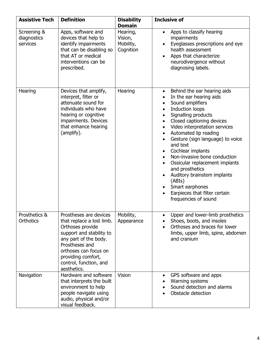| <b>Assistive Tech</b>                  | <b>Definition</b>                                                                                                                                                                                                                      | <b>Disability</b><br><b>Domain</b>            | <b>Inclusive of</b>                                                                                                                                                                                                                                                                                                                                                                                                                                                                                                                                                                                                  |
|----------------------------------------|----------------------------------------------------------------------------------------------------------------------------------------------------------------------------------------------------------------------------------------|-----------------------------------------------|----------------------------------------------------------------------------------------------------------------------------------------------------------------------------------------------------------------------------------------------------------------------------------------------------------------------------------------------------------------------------------------------------------------------------------------------------------------------------------------------------------------------------------------------------------------------------------------------------------------------|
| Screening &<br>diagnostics<br>services | Apps, software and<br>devices that help to<br>identify impairments<br>that can be disabling so<br>that AT or medical<br>interventions can be<br>prescribed.                                                                            | Hearing,<br>Vision,<br>Mobility,<br>Cognition | Apps to classify hearing<br>$\bullet$<br>impairments<br>Eyeglasses prescriptions and eye<br>health assessment<br>Apps that characterize<br>neurodivergence without<br>diagnosing labels.                                                                                                                                                                                                                                                                                                                                                                                                                             |
| Hearing                                | Devices that amplify,<br>interpret, filter or<br>attenuate sound for<br>individuals who have<br>hearing or cognitive<br>impairments. Devices<br>that enhance hearing<br>(amplify).                                                     | Hearing                                       | Behind the ear hearing aids<br>$\bullet$<br>In the ear hearing aids<br>$\bullet$<br>Sound amplifiers<br>$\bullet$<br>Induction loops<br>$\bullet$<br>Signalling products<br>$\bullet$<br>Closed captioning devices<br>$\bullet$<br>Video interpretation services<br>$\bullet$<br>Automated lip reading<br>$\bullet$<br>Gesture (sign language) to voice<br>and text<br>Cochlear implants<br>٠<br>Non-invasive bone conduction<br>$\bullet$<br>Ossicular replacement implants<br>and prosthetics<br>Auditory brainstem implants<br>(ABIs)<br>Smart earphones<br>Earpieces that filter certain<br>frequencies of sound |
| Prosthetics &<br>Orthotics             | Prostheses are devices<br>that replace a lost limb.<br>Orthoses provide<br>support and stability to<br>any part of the body.<br>Prostheses and<br>orthoses can focus on<br>providing comfort,<br>control, function, and<br>aesthetics. | Mobility,<br>Appearance                       | Upper and lower-limb prosthetics<br>$\bullet$<br>Shoes, boots, and insoles<br>Orthoses and braces for lower<br>limbs, upper limb, spine, abdomen<br>and cranium                                                                                                                                                                                                                                                                                                                                                                                                                                                      |
| Navigation                             | Hardware and software<br>that interprets the built<br>environment to help<br>people navigate using<br>audio, physical and/or<br>visual feedback.                                                                                       | Vision                                        | GPS software and apps<br>Warning systems<br>Sound detection and alarms<br>Obstacle detection                                                                                                                                                                                                                                                                                                                                                                                                                                                                                                                         |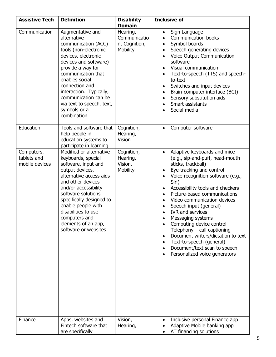| <b>Assistive Tech</b>                       | <b>Definition</b>                                                                                                                                                                                                                                                                                                               | <b>Disability</b><br><b>Domain</b>                    | <b>Inclusive of</b>                                                                                                                                                                                                                                                                                                                                                                                                                                                                                                                                                                                          |
|---------------------------------------------|---------------------------------------------------------------------------------------------------------------------------------------------------------------------------------------------------------------------------------------------------------------------------------------------------------------------------------|-------------------------------------------------------|--------------------------------------------------------------------------------------------------------------------------------------------------------------------------------------------------------------------------------------------------------------------------------------------------------------------------------------------------------------------------------------------------------------------------------------------------------------------------------------------------------------------------------------------------------------------------------------------------------------|
| Communication                               | Augmentative and<br>alternative<br>communication (ACC)<br>tools (non-electronic<br>devices, electronic<br>devices and software)<br>provide a way for<br>communication that<br>enables social<br>connection and<br>interaction. Typically,<br>communication can be<br>via text to speech, text,<br>symbols or a<br>combination.  | Hearing,<br>Communicatio<br>n, Cognition,<br>Mobility | Sign Language<br>$\bullet$<br>Communication books<br>$\bullet$<br>Symbol boards<br>$\bullet$<br>Speech generating devices<br>Voice Output Communication<br>software<br>Visual communication<br>Text-to-speech (TTS) and speech-<br>to-text<br>Switches and input devices<br>٠<br>Brain-computer interface (BCI)<br>$\bullet$<br>Sensory substitution aids<br>$\bullet$<br>Smart assistants<br>Social media                                                                                                                                                                                                   |
| Education                                   | Tools and software that<br>help people in<br>education systems to<br>participate in learning.                                                                                                                                                                                                                                   | Cognition,<br>Hearing,<br>Vision                      | Computer software                                                                                                                                                                                                                                                                                                                                                                                                                                                                                                                                                                                            |
| Computers,<br>tablets and<br>mobile devices | Modified or alternative<br>keyboards, special<br>software, input and<br>output devices,<br>alternative access aids<br>and other devices<br>and/or accessibility<br>software solutions<br>specifically designed to<br>enable people with<br>disabilities to use<br>computers and<br>elements of an app,<br>software or websites. | Cognition,<br>Hearing,<br>Vision,<br>Mobility         | Adaptive keyboards and mice<br>$\bullet$<br>(e.g., sip-and-puff, head-mouth<br>sticks, trackball)<br>Eye-tracking and control<br>$\bullet$<br>Voice recognition software (e.g.,<br>Siri)<br>Accessibility tools and checkers<br>Picture-based communications<br>$\bullet$<br>Video communication devices<br>$\bullet$<br>Speech input (general)<br><b>IVR and services</b><br>Messaging systems<br>Computing device control<br>Telephony $-$ call captioning<br>Document writers/dictation to text<br>$\bullet$<br>Text-to-speech (general)<br>Document/text scan to speech<br>Personalized voice generators |
| Finance                                     | Apps, websites and<br>Fintech software that<br>are specifically                                                                                                                                                                                                                                                                 | Vision,<br>Hearing,                                   | Inclusive personal Finance app<br>$\bullet$<br>Adaptive Mobile banking app<br>AT financing solutions                                                                                                                                                                                                                                                                                                                                                                                                                                                                                                         |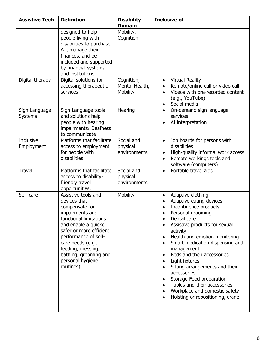| <b>Assistive Tech</b>           | <b>Definition</b>                                                                                                                                                                                                                                                                   | <b>Disability</b><br><b>Domain</b>       | <b>Inclusive of</b>                                                                                                                                                                                                                                                                                                                                                                                                                                                                                                            |
|---------------------------------|-------------------------------------------------------------------------------------------------------------------------------------------------------------------------------------------------------------------------------------------------------------------------------------|------------------------------------------|--------------------------------------------------------------------------------------------------------------------------------------------------------------------------------------------------------------------------------------------------------------------------------------------------------------------------------------------------------------------------------------------------------------------------------------------------------------------------------------------------------------------------------|
|                                 | designed to help<br>people living with<br>disabilities to purchase<br>AT, manage their<br>finances, and be<br>included and supported<br>by financial systems<br>and institutions.                                                                                                   | Mobility,<br>Cognition                   |                                                                                                                                                                                                                                                                                                                                                                                                                                                                                                                                |
| Digital therapy                 | Digital solutions for<br>accessing therapeutic<br>services                                                                                                                                                                                                                          | Cognition,<br>Mental Health,<br>Mobility | <b>Virtual Reality</b><br>$\bullet$<br>Remote/online call or video call<br>Videos with pre-recorded content<br>(e.g., YouTube)<br>Social media                                                                                                                                                                                                                                                                                                                                                                                 |
| Sign Language<br><b>Systems</b> | Sign Language tools<br>and solutions help<br>people with hearing<br>impairments/ Deafness<br>to communicate                                                                                                                                                                         | Hearing                                  | On-demand sign language<br>$\bullet$<br>services<br>AI interpretation                                                                                                                                                                                                                                                                                                                                                                                                                                                          |
| Inclusive<br>Employment         | Platforms that facilitate<br>access to employment<br>for people with<br>disabilities.                                                                                                                                                                                               | Social and<br>physical<br>environments   | Job boards for persons with<br>$\bullet$<br>disabilities<br>High-quality informal work access<br>Remote workings tools and<br>software (computers)                                                                                                                                                                                                                                                                                                                                                                             |
| <b>Travel</b>                   | Platforms that facilitate<br>access to disability-<br>friendly travel<br>opportunities.                                                                                                                                                                                             | Social and<br>physical<br>environments   | Portable travel aids                                                                                                                                                                                                                                                                                                                                                                                                                                                                                                           |
| Self-care                       | Assistive tools and<br>devices that<br>compensate for<br>impairments and<br>functional limitations<br>and enable a quicker,<br>safer or more efficient<br>performance of self-<br>care needs (e.g.,<br>feeding, dressing,<br>bathing, grooming and<br>personal hygiene<br>routines) | Mobility                                 | Adaptive clothing<br>$\bullet$<br>Adaptive eating devices<br>Incontinence products<br>Personal grooming<br>$\bullet$<br>Dental care<br>Assistive products for sexual<br>activity<br>Health and emotion monitoring<br>Smart medication dispensing and<br>$\bullet$<br>management<br>Beds and their accessories<br>$\bullet$<br>Light fixtures<br>Sitting arrangements and their<br>accessories<br>Storage Food preparation<br>Tables and their accessories<br>Workplace and domestic safety<br>Hoisting or repositioning, crane |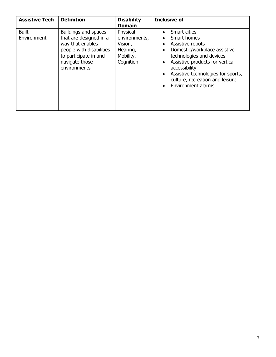| <b>Assistive Tech</b>       | <b>Definition</b>                                                                                                                                         | <b>Disability</b><br><b>Domain</b>                                         | <b>Inclusive of</b>                                                                                                                                                                                                                                                                      |
|-----------------------------|-----------------------------------------------------------------------------------------------------------------------------------------------------------|----------------------------------------------------------------------------|------------------------------------------------------------------------------------------------------------------------------------------------------------------------------------------------------------------------------------------------------------------------------------------|
| <b>Built</b><br>Environment | Buildings and spaces<br>that are designed in a<br>way that enables<br>people with disabilities<br>to participate in and<br>navigate those<br>environments | Physical<br>environments,<br>Vision,<br>Hearing,<br>Mobility,<br>Cognition | Smart cities<br>Smart homes<br>Assistive robots<br>$\bullet$<br>Domestic/workplace assistive<br>technologies and devices<br>Assistive products for vertical<br>accessibility<br>Assistive technologies for sports,<br>$\bullet$<br>culture, recreation and leisure<br>Environment alarms |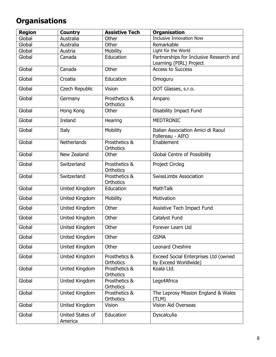## <span id="page-8-0"></span>**Organisations**

<span id="page-8-1"></span>

| <b>Region</b> | <b>Country</b>              | <b>Assistive Tech</b>             | <b>Organisation</b>                                                |
|---------------|-----------------------------|-----------------------------------|--------------------------------------------------------------------|
| Global        | Australia                   | Other                             | <b>Inclusive Innovation Now</b>                                    |
| Global        | Australia                   | Other                             | Remarkable                                                         |
| Global        | Austria                     | Mobility                          | Light for the World                                                |
| Global        | Canada                      | Education                         | Partnerships for Inclusive Research and<br>Learning (PIRL) Project |
| Global        | Canada                      | Other                             | <b>Access to Success</b>                                           |
| Global        | Croatia                     | Education                         | Omoguru                                                            |
| Global        | Czech Republic              | Vision                            | DOT Glasses, s.r.o.                                                |
| Global        | Germany                     | Prosthetics &<br>Orthotics        | Amparo                                                             |
| Global        | Hong Kong                   | Other                             | <b>Disability Impact Fund</b>                                      |
| Global        | <b>Ireland</b>              | Hearing                           | <b>MEDTRONIC</b>                                                   |
| Global        | Italy                       | Mobility                          | Italian Association Amici di Raoul<br>Follereau - AIFO             |
| Global        | <b>Netherlands</b>          | Prosthetics &<br>Orthotics        | Enablement                                                         |
| Global        | New Zealand                 | Other                             | <b>Global Centre of Possibility</b>                                |
| Global        | Switzerland                 | Prosthetics &<br>Orthotics        | <b>Project Circleg</b>                                             |
| Global        | Switzerland                 | Prosthetics &<br>Orthotics        | <b>SwissLimbs Association</b>                                      |
| Global        | United Kingdom              | Education                         | <b>MathTalk</b>                                                    |
| Global        | United Kingdom              | Mobility                          | Motivation                                                         |
| Global        | United Kingdom              | Other                             | Assistive Tech Impact Fund                                         |
| Global        | United Kingdom              | Other                             | Catalyst Fund                                                      |
| Global        | United Kingdom              | Other                             | Forever Learn Ltd                                                  |
| Global        | United Kingdom              | Other                             | <b>GSMA</b>                                                        |
| Global        | United Kingdom              | Other                             | Leonard Cheshire                                                   |
| Global        | United Kingdom              | Prosthetics &<br><b>Orthotics</b> | Exceed Social Enterprises Ltd (owned<br>by Exceed Worldwide)       |
| Global        | United Kingdom              | Prosthetics &<br>Orthotics        | Koala Ltd.                                                         |
| Global        | United Kingdom              | Prosthetics &<br>Orthotics        | Legs4Africa                                                        |
| Global        | United Kingdom              | Prosthetics &<br>Orthotics        | The Leprosy Mission England & Wales<br>(TLM)                       |
| Global        | United Kingdom              | Vision                            | <b>Vision Aid Overseas</b>                                         |
| Global        | United States of<br>America | Education                         | Dyscalculia                                                        |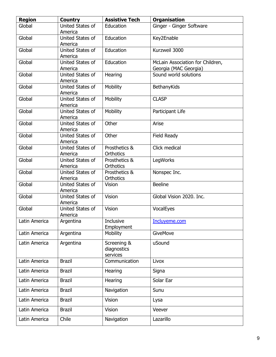| <b>Region</b> | <b>Country</b>              | <b>Assistive Tech</b>                  | <b>Organisation</b>                                       |
|---------------|-----------------------------|----------------------------------------|-----------------------------------------------------------|
| Global        | United States of<br>America | Education                              | Ginger - Ginger Software                                  |
| Global        | United States of<br>America | Education                              | Key2Enable                                                |
| Global        | United States of<br>America | Education                              | Kurzweil 3000                                             |
| Global        | United States of<br>America | Education                              | McLain Association for Children,<br>Georgia (MAC Georgia) |
| Global        | United States of<br>America | Hearing                                | Sound world solutions                                     |
| Global        | United States of<br>America | Mobility                               | BethanyKids                                               |
| Global        | United States of<br>America | Mobility                               | <b>CLASP</b>                                              |
| Global        | United States of<br>America | Mobility                               | Participant Life                                          |
| Global        | United States of<br>America | Other                                  | Arise                                                     |
| Global        | United States of<br>America | Other                                  | Field Ready                                               |
| Global        | United States of<br>America | Prosthetics &<br><b>Orthotics</b>      | Click medical                                             |
| Global        | United States of<br>America | Prosthetics &<br><b>Orthotics</b>      | LegWorks                                                  |
| Global        | United States of<br>America | Prosthetics &<br>Orthotics             | Nonspec Inc.                                              |
| Global        | United States of<br>America | Vision                                 | <b>Beeline</b>                                            |
| Global        | United States of<br>America | Vision                                 | Global Vision 2020, Inc.                                  |
| Global        | United States of<br>America | Vision                                 | VocalEyes                                                 |
| Latin America | Argentina                   | <b>Inclusive</b><br>Employment         | Incluyeme.com                                             |
| Latin America | Argentina                   | Mobility                               | GiveMove                                                  |
| Latin America | Argentina                   | Screening &<br>diagnostics<br>services | uSound                                                    |
| Latin America | <b>Brazil</b>               | Communication                          | Livox                                                     |
| Latin America | <b>Brazil</b>               | Hearing                                | Signa                                                     |
| Latin America | <b>Brazil</b>               | Hearing                                | Solar Ear                                                 |
| Latin America | <b>Brazil</b>               | Navigation                             | Sunu                                                      |
| Latin America | <b>Brazil</b>               | Vision                                 | Lysa                                                      |
| Latin America | <b>Brazil</b>               | Vision                                 | Veever                                                    |
| Latin America | Chile                       | Navigation                             | Lazarillo                                                 |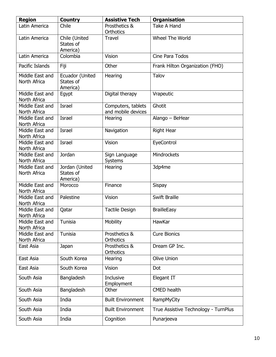| <b>Region</b>                   | <b>Country</b>                           | <b>Assistive Tech</b>                    | <b>Organisation</b>                  |
|---------------------------------|------------------------------------------|------------------------------------------|--------------------------------------|
| Latin America                   | Chile                                    | Prosthetics &<br>Orthotics               | <b>Take A Hand</b>                   |
| Latin America                   | Chile (United<br>States of<br>America)   | <b>Travel</b>                            | Wheel The World                      |
| Latin America                   | Colombia                                 | Vision                                   | Cine Para Todos                      |
| Pacific Islands                 | Fiji                                     | Other                                    | Frank Hilton Organization (FHO)      |
| Middle East and<br>North Africa | Ecuador (United<br>States of<br>America) | Hearing                                  | Talov                                |
| Middle East and<br>North Africa | Egypt                                    | Digital therapy                          | Vrapeutic                            |
| Middle East and<br>North Africa | <b>Israel</b>                            | Computers, tablets<br>and mobile devices | Ghotit                               |
| Middle East and<br>North Africa | <b>Israel</b>                            | Hearing                                  | Alango - BeHear                      |
| Middle East and<br>North Africa | Israel                                   | Navigation                               | <b>Right Hear</b>                    |
| Middle East and<br>North Africa | Israel                                   | Vision                                   | EyeControl                           |
| Middle East and<br>North Africa | Jordan                                   | Sign Language<br>Systems                 | Mindrockets                          |
| Middle East and<br>North Africa | Jordan (United<br>States of<br>America)  | Hearing                                  | 3dp4me                               |
| Middle East and<br>North Africa | Morocco                                  | Finance                                  | <b>Sispay</b>                        |
| Middle East and<br>North Africa | Palestine                                | Vision                                   | <b>Swift Braille</b>                 |
| Middle East and<br>North Africa | Qatar                                    | <b>Tactile Design</b>                    | <b>BrailleEasy</b>                   |
| Middle East and<br>North Africa | Tunisia                                  | Mobility                                 | HawKar                               |
| Middle East and<br>North Africa | Tunisia                                  | Prosthetics &<br>Orthotics               | <b>Cure Bionics</b>                  |
| East Asia                       | Japan                                    | Prosthetics &<br>Orthotics               | Dream GP Inc.                        |
| East Asia                       | South Korea                              | Hearing                                  | <b>Olive Union</b>                   |
| East Asia                       | South Korea                              | Vision                                   | Dot                                  |
| South Asia                      | Bangladesh                               | Inclusive<br>Employment                  | Elegant IT                           |
| South Asia                      | Bangladesh                               | Other                                    | <b>CMED</b> health                   |
| South Asia                      | India                                    | <b>Built Environment</b>                 | RampMyCity                           |
| South Asia                      | India                                    | <b>Built Environment</b>                 | True Assistive Technology - TurnPlus |
| South Asia                      | India                                    | Cognition                                | Punarjeeva                           |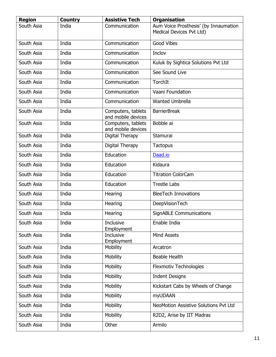| <b>Region</b> | <b>Country</b> | <b>Assistive Tech</b>                    | <b>Organisation</b>                                               |
|---------------|----------------|------------------------------------------|-------------------------------------------------------------------|
| South Asia    | India          | Communication                            | Aum Voice Prosthesis' (by Innaumation<br>Medical Devices Pvt Ltd) |
| South Asia    | India          | Communication                            | <b>Good Vibes</b>                                                 |
| South Asia    | India          | Communication                            | Inclov                                                            |
| South Asia    | India          | Communication                            | Kuluk by Sightica Solutions Pvt Ltd                               |
| South Asia    | India          | Communication                            | See Sound Live                                                    |
| South Asia    | India          | Communication                            | TorchIt                                                           |
| South Asia    | India          | Communication                            | Vaani Foundation                                                  |
| South Asia    | India          | Communication                            | <b>Wanted Umbrella</b>                                            |
| South Asia    | India          | Computers, tablets<br>and mobile devices | <b>BarrierBreak</b>                                               |
| South Asia    | India          | Computers, tablets<br>and mobile devices | Bobble ai                                                         |
| South Asia    | India          | Digital Therapy                          | Stamurai                                                          |
| South Asia    | India          | Digital Therapy                          | Tactopus                                                          |
| South Asia    | India          | Education                                | Daad.io                                                           |
| South Asia    | India          | Education                                | Kidaura                                                           |
| South Asia    | India          | Education                                | <b>Titration ColorCam</b>                                         |
| South Asia    | India          | Education                                | <b>Trestle Labs</b>                                               |
| South Asia    | India          | Hearing                                  | <b>BleeTech Innovations</b>                                       |
| South Asia    | India          | Hearing                                  | <b>DeepVisionTech</b>                                             |
| South Asia    | India          | Hearing                                  | <b>SignABLE Communications</b>                                    |
| South Asia    | India          | Inclusive<br>Employment                  | Enable India                                                      |
| South Asia    | India          | <b>Inclusive</b><br>Employment           | <b>Mind Assets</b>                                                |
| South Asia    | India          | Mobility                                 | Arcatron                                                          |
| South Asia    | India          | Mobility                                 | <b>Beable Health</b>                                              |
| South Asia    | India          | Mobility                                 | <b>Flexmotiv Technologies</b>                                     |
| South Asia    | India          | Mobility                                 | <b>Indent Designs</b>                                             |
| South Asia    | India          | Mobility                                 | Kickstart Cabs by Wheels of Change                                |
| South Asia    | India          | Mobility                                 | <b>myUDAAN</b>                                                    |
| South Asia    | India          | Mobility                                 | NeoMotion Assistive Solutions Pvt Ltd                             |
| South Asia    | India          | Mobility                                 | R2D2, Arise by IIT Madras                                         |
| South Asia    | India          | Other                                    | Armilo                                                            |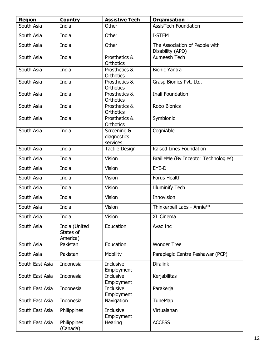| <b>Region</b>   | <b>Country</b>                         | <b>Assistive Tech</b>                  | <b>Organisation</b>                                |
|-----------------|----------------------------------------|----------------------------------------|----------------------------------------------------|
| South Asia      | India                                  | Other                                  | <b>AssisTech Foundation</b>                        |
| South Asia      | India                                  | Other                                  | I-STEM                                             |
| South Asia      | India                                  | Other                                  | The Association of People with<br>Disability (APD) |
| South Asia      | India                                  | Prosthetics &<br><b>Orthotics</b>      | Aumeesh Tech                                       |
| South Asia      | India                                  | Prosthetics &<br><b>Orthotics</b>      | <b>Bionic Yantra</b>                               |
| South Asia      | India                                  | Prosthetics &<br><b>Orthotics</b>      | Grasp Bionics Pvt. Ltd.                            |
| South Asia      | India                                  | Prosthetics &<br><b>Orthotics</b>      | Inali Foundation                                   |
| South Asia      | India                                  | Prosthetics &<br><b>Orthotics</b>      | Robo Bionics                                       |
| South Asia      | India                                  | Prosthetics &<br><b>Orthotics</b>      | Symbionic                                          |
| South Asia      | India                                  | Screening &<br>diagnostics<br>services | CogniAble                                          |
| South Asia      | India                                  | <b>Tactile Design</b>                  | Raised Lines Foundation                            |
| South Asia      | India                                  | Vision                                 | BrailleMe (By Inceptor Technologies)               |
| South Asia      | India                                  | <b>Vision</b>                          | EYE-D                                              |
| South Asia      | India                                  | <b>Vision</b>                          | Forus Health                                       |
| South Asia      | India                                  | <b>Vision</b>                          | <b>Illuminify Tech</b>                             |
| South Asia      | India                                  | Vision                                 | Innovision                                         |
| South Asia      | India                                  | Vision                                 | Thinkerbell Labs - Annie <sup>™</sup>              |
| South Asia      | India                                  | Vision                                 | XL Cinema                                          |
| South Asia      | India (United<br>States of<br>America) | Education                              | Avaz Inc                                           |
| South Asia      | Pakistan                               | Education                              | <b>Wonder Tree</b>                                 |
| South Asia      | Pakistan                               | Mobility                               | Paraplegic Centre Peshawar (PCP)                   |
| South East Asia | Indonesia                              | Inclusive<br>Employment                | <b>Difalink</b>                                    |
| South East Asia | Indonesia                              | <b>Inclusive</b><br>Employment         | Kerjabilitas                                       |
| South East Asia | Indonesia                              | Inclusive<br>Employment                | Parakerja                                          |
| South East Asia | Indonesia                              | Navigation                             | <b>TuneMap</b>                                     |
| South East Asia | Philippines                            | Inclusive<br>Employment                | Virtualahan                                        |
| South East Asia | Philippines<br>(Canada)                | Hearing                                | <b>ACCESS</b>                                      |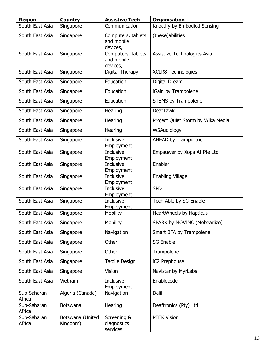| <b>Region</b>         | <b>Country</b>               | <b>Assistive Tech</b>                        | <b>Organisation</b>               |
|-----------------------|------------------------------|----------------------------------------------|-----------------------------------|
| South East Asia       | Singapore                    | Communication                                | Knoctify by Embodied Sensing      |
| South East Asia       | Singapore                    | Computers, tablets<br>and mobile<br>devices, | (these)abilities                  |
| South East Asia       | Singapore                    | Computers, tablets<br>and mobile<br>devices, | Assistive Technologies Asia       |
| South East Asia       | Singapore                    | Digital Therapy                              | <b>XCLR8 Technologies</b>         |
| South East Asia       | Singapore                    | Education                                    | Digital Dream                     |
| South East Asia       | Singapore                    | Education                                    | iGain by Trampolene               |
| South East Asia       | Singapore                    | Education                                    | <b>STEMS by Trampolene</b>        |
| South East Asia       | Singapore                    | Hearing                                      | <b>DeafTawk</b>                   |
| South East Asia       | Singapore                    | Hearing                                      | Project Quiet Storm by Wika Media |
| South East Asia       | Singapore                    | Hearing                                      | WSAudiology                       |
| South East Asia       | Singapore                    | <b>Inclusive</b><br>Employment               | AHEAD by Trampolene               |
| South East Asia       | Singapore                    | Inclusive<br>Employment                      | Empauwer by Xopa AI Pte Ltd       |
| South East Asia       | Singapore                    | <b>Inclusive</b><br>Employment               | Enabler                           |
| South East Asia       | Singapore                    | Inclusive<br>Employment                      | <b>Enabling Village</b>           |
| South East Asia       | Singapore                    | Inclusive<br>Employment                      | <b>SPD</b>                        |
| South East Asia       | Singapore                    | Inclusive<br>Employment                      | Tech Able by SG Enable            |
| South East Asia       | Singapore                    | Mobility                                     | <b>HeartWheels by Hapticus</b>    |
| South East Asia       | Singapore                    | Mobility                                     | SPARK by MOVINC (Mobearlize)      |
| South East Asia       | Singapore                    | Navigation                                   | Smart BFA by Trampolene           |
| South East Asia       | Singapore                    | Other                                        | <b>SG Enable</b>                  |
| South East Asia       | Singapore                    | Other                                        | Trampolene                        |
| South East Asia       | Singapore                    | <b>Tactile Design</b>                        | iC2 Prephouse                     |
| South East Asia       | Singapore                    | Vision                                       | Navistar by MyrLabs               |
| South East Asia       | Vietnam                      | <b>Inclusive</b><br>Employment               | Enablecode                        |
| Sub-Saharan<br>Africa | Algeria (Canada)             | Navigation                                   | Dalil                             |
| Sub-Saharan<br>Africa | <b>Botswana</b>              | Hearing                                      | Deaftronics (Pty) Ltd             |
| Sub-Saharan<br>Africa | Botswana (United<br>Kingdom) | Screening &<br>diagnostics<br>services       | <b>PEEK Vision</b>                |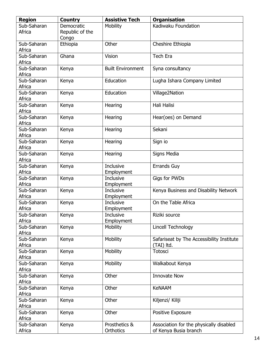| <b>Region</b>         | <b>Country</b>  | <b>Assistive Tech</b>    | <b>Organisation</b>                                     |
|-----------------------|-----------------|--------------------------|---------------------------------------------------------|
| Sub-Saharan           | Democratic      | Mobility                 | Kadiwaku Foundation                                     |
| Africa                | Republic of the |                          |                                                         |
|                       | Congo           |                          |                                                         |
| Sub-Saharan           | Ethiopia        | Other                    | Cheshire Ethiopia                                       |
| Africa                |                 |                          |                                                         |
| Sub-Saharan           | Ghana           | Vision                   | <b>Tech Era</b>                                         |
| Africa                |                 |                          |                                                         |
| Sub-Saharan           | Kenya           | <b>Built Environment</b> | Syna consultancy                                        |
| Africa                |                 |                          |                                                         |
| Sub-Saharan           | Kenya           | Education                | Lugha Ishara Company Limited                            |
| Africa                |                 |                          |                                                         |
| Sub-Saharan           | Kenya           | Education                | Village2Nation                                          |
| Africa                |                 |                          |                                                         |
| Sub-Saharan           | Kenya           | Hearing                  | Hali Halisi                                             |
| Africa                |                 |                          |                                                         |
| Sub-Saharan           | Kenya           | Hearing                  | Hear(oes) on Demand                                     |
| Africa                |                 |                          |                                                         |
| Sub-Saharan           | Kenya           | Hearing                  | Sekani                                                  |
| Africa                |                 |                          |                                                         |
| Sub-Saharan           | Kenya           | Hearing                  | Sign io                                                 |
| Africa                |                 |                          |                                                         |
| Sub-Saharan           | Kenya           | Hearing                  | Signs Media                                             |
| Africa                |                 |                          |                                                         |
| Sub-Saharan           | Kenya           | Inclusive                | <b>Errands Guy</b>                                      |
| Africa                |                 | Employment               |                                                         |
| Sub-Saharan           | Kenya           | Inclusive                | Gigs for PWDs                                           |
| Africa                |                 | Employment               |                                                         |
| Sub-Saharan           | Kenya           | Inclusive                | Kenya Business and Disability Network                   |
| Africa                |                 | Employment               |                                                         |
| Sub-Saharan           | Kenya           | <b>Inclusive</b>         | On the Table Africa                                     |
| Africa                |                 | Employment               |                                                         |
| Sub-Saharan           | Kenya           | Inclusive                | Riziki source                                           |
| Africa                |                 | Employment               |                                                         |
| Sub-Saharan           | Kenya           | Mobility                 | Lincell Technology                                      |
| Africa<br>Sub-Saharan |                 | Mobility                 |                                                         |
| Africa                | Kenya           |                          | Safariseat by The Accessibility Institute<br>(TAI) ltd. |
| Sub-Saharan           | Kenya           | Mobility                 | Totosci                                                 |
| Africa                |                 |                          |                                                         |
| Sub-Saharan           | Kenya           | Mobility                 | Walkabout Kenya                                         |
| Africa                |                 |                          |                                                         |
| Sub-Saharan           | Kenya           | Other                    | <b>Innovate Now</b>                                     |
| Africa                |                 |                          |                                                         |
| Sub-Saharan           | Kenya           | Other                    | <b>KeNAAM</b>                                           |
| Africa                |                 |                          |                                                         |
| Sub-Saharan           | Kenya           | Other                    | Kiljenzi/ Kiliji                                        |
| Africa                |                 |                          |                                                         |
| Sub-Saharan           | Kenya           | Other                    | Positive Exposure                                       |
| Africa                |                 |                          |                                                         |
| Sub-Saharan           | Kenya           | Prosthetics &            | Association for the physically disabled                 |
| Africa                |                 | Orthotics                | of Kenya Busia branch                                   |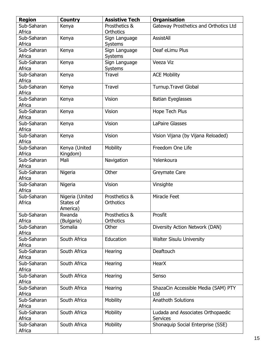| <b>Region</b>         | <b>Country</b>  | <b>Assistive Tech</b>      | <b>Organisation</b>                   |
|-----------------------|-----------------|----------------------------|---------------------------------------|
| Sub-Saharan           | Kenya           | Prosthetics &              | Gateway Prosthetics and Orthotics Ltd |
| Africa                |                 | <b>Orthotics</b>           |                                       |
| Sub-Saharan           | Kenya           | Sign Language              | <b>AssistAll</b>                      |
| Africa                |                 | Systems                    |                                       |
| Sub-Saharan           | Kenya           | Sign Language              | Deaf eLimu Plus                       |
| Africa                |                 | Systems                    |                                       |
| Sub-Saharan           | Kenya           | Sign Language              | Veeza Viz                             |
| Africa                |                 | Systems                    |                                       |
| Sub-Saharan           | Kenya           | <b>Travel</b>              | <b>ACE Mobility</b>                   |
| Africa                |                 |                            |                                       |
| Sub-Saharan           | Kenya           | <b>Travel</b>              | Turnup. Travel Global                 |
| Africa                |                 |                            |                                       |
| Sub-Saharan           | Kenya           | Vision                     | <b>Batian Eyeglasses</b>              |
| Africa                |                 |                            |                                       |
| Sub-Saharan           | Kenya           | Vision                     | Hope Tech Plus                        |
| Africa                |                 |                            |                                       |
| Sub-Saharan           | Kenya           | Vision                     | <b>LaPaire Glasses</b>                |
| Africa                |                 |                            |                                       |
| Sub-Saharan           | Kenya           | Vision                     | Vision Vijana (by Vijana Reloaded)    |
| Africa                |                 |                            |                                       |
| Sub-Saharan           | Kenya (United   | Mobility                   | Freedom One Life                      |
| Africa                | Kingdom)        |                            |                                       |
| Sub-Saharan           | Mali            | Navigation                 | Yelenkoura                            |
| Africa                |                 |                            |                                       |
| Sub-Saharan           | Nigeria         | Other                      | Greymate Care                         |
| Africa                |                 |                            |                                       |
| Sub-Saharan           | Nigeria         | Vision                     | Vinsighte                             |
| Africa                |                 |                            |                                       |
| Sub-Saharan           | Nigeria (United | Prosthetics &              | Miracle Feet                          |
| Africa                | States of       | <b>Orthotics</b>           |                                       |
|                       | America)        |                            |                                       |
| Sub-Saharan           | Rwanda          | Prosthetics &<br>Orthotics | Prosfit                               |
| Africa                | (Bulgaria)      |                            |                                       |
| Sub-Saharan           | Somalia         | Other                      | Diversity Action Network (DAN)        |
| Africa<br>Sub-Saharan | South Africa    | Education                  | <b>Walter Sisulu University</b>       |
| Africa                |                 |                            |                                       |
| Sub-Saharan           | South Africa    | Hearing                    | Deaftouch                             |
| Africa                |                 |                            |                                       |
| Sub-Saharan           | South Africa    | Hearing                    | <b>HearX</b>                          |
| Africa                |                 |                            |                                       |
| Sub-Saharan           | South Africa    | Hearing                    | Senso                                 |
| Africa                |                 |                            |                                       |
| Sub-Saharan           | South Africa    | Hearing                    | ShazaCin Accessible Media (SAM) PTY   |
| Africa                |                 |                            | Ltd                                   |
| Sub-Saharan           | South Africa    | Mobility                   | <b>Anathoth Solutions</b>             |
| Africa                |                 |                            |                                       |
| Sub-Saharan           | South Africa    | Mobility                   | Ludada and Associates Orthopaedic     |
| Africa                |                 |                            | <b>Services</b>                       |
| Sub-Saharan           | South Africa    | Mobility                   | Shonaquip Social Enterprise (SSE)     |
| Africa                |                 |                            |                                       |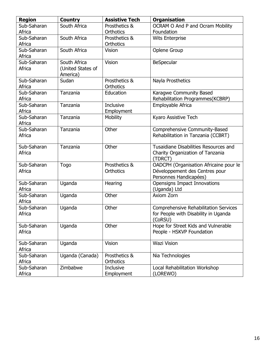| <b>Region</b> | <b>Country</b>    | <b>Assistive Tech</b> | <b>Organisation</b>                          |
|---------------|-------------------|-----------------------|----------------------------------------------|
| Sub-Saharan   | South Africa      | Prosthetics &         | OCRAM O And P and Ocram Mobility             |
| Africa        |                   | Orthotics             | Foundation                                   |
| Sub-Saharan   | South Africa      | Prosthetics &         | <b>Wits Enterprise</b>                       |
| Africa        |                   | <b>Orthotics</b>      |                                              |
| Sub-Saharan   | South Africa      | Vision                | Oplene Group                                 |
| Africa        |                   |                       |                                              |
| Sub-Saharan   | South Africa      | Vision                | BeSpecular                                   |
| Africa        | (United States of |                       |                                              |
|               | America)          |                       |                                              |
| Sub-Saharan   | Sudan             | Prosthetics &         | Nayla Prosthetics                            |
| Africa        |                   | <b>Orthotics</b>      |                                              |
| Sub-Saharan   | Tanzania          | Education             | Karagwe Community Based                      |
| Africa        |                   |                       | Rehabilitation Programmes(KCBRP)             |
| Sub-Saharan   | Tanzania          | <b>Inclusive</b>      | Employable Africa                            |
| Africa        |                   | Employment            |                                              |
| Sub-Saharan   | Tanzania          | Mobility              | Kyaro Assistive Tech                         |
| Africa        |                   |                       |                                              |
| Sub-Saharan   | Tanzania          | Other                 | Comprehensive Community-Based                |
| Africa        |                   |                       | Rehabilitation in Tanzania (CCBRT)           |
|               |                   |                       |                                              |
| Sub-Saharan   | Tanzania          | Other                 | Tusaidiane Disabilities Resources and        |
| Africa        |                   |                       | Charity Organization of Tanzania             |
|               |                   |                       | (TDRCT)                                      |
| Sub-Saharan   | <b>Togo</b>       | Prosthetics &         | OADCPH (Organisation Africaine pour le       |
| Africa        |                   | <b>Orthotics</b>      | Développement des Centres pour               |
|               |                   |                       | Personnes Handicapées)                       |
| Sub-Saharan   | Uganda            | Hearing               | Opensigns Impact Innovations                 |
| Africa        |                   |                       | (Uganda) Ltd                                 |
| Sub-Saharan   | Uganda            | Other                 | Axiom Zorn                                   |
| Africa        |                   |                       |                                              |
| Sub-Saharan   | Uganda            | Other                 | <b>Comprehensive Rehabilitation Services</b> |
| Africa        |                   |                       | for People with Disability in Uganda         |
|               |                   |                       | (CoRSU)                                      |
| Sub-Saharan   | Uganda            | Other                 | Hope for Street Kids and Vulnerable          |
| Africa        |                   |                       | People - HSKVP Foundation                    |
|               |                   |                       |                                              |
| Sub-Saharan   | Uganda            | Vision                | <b>Wazi Vision</b>                           |
| Africa        |                   |                       |                                              |
| Sub-Saharan   | Uganda (Canada)   | Prosthetics &         | Nia Technologies                             |
| Africa        |                   | Orthotics             |                                              |
| Sub-Saharan   | Zimbabwe          | Inclusive             | Local Rehabilitation Workshop                |
| Africa        |                   | Employment            | (LOREWO)                                     |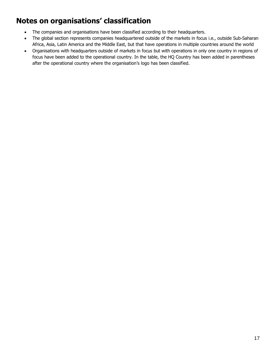### **Notes on organisations' classification**

- The companies and organisations have been classified according to their headquarters.
- The global section represents companies headquartered outside of the markets in focus i.e., outside Sub-Saharan Africa, Asia, Latin America and the Middle East, but that have operations in multiple countries around the world
- <span id="page-17-0"></span>• Organisations with headquarters outside of markets in focus but with operations in only one country in regions of focus have been added to the operational country. In the table, the HQ Country has been added in parentheses after the operational country where the organisation's logo has been classified.